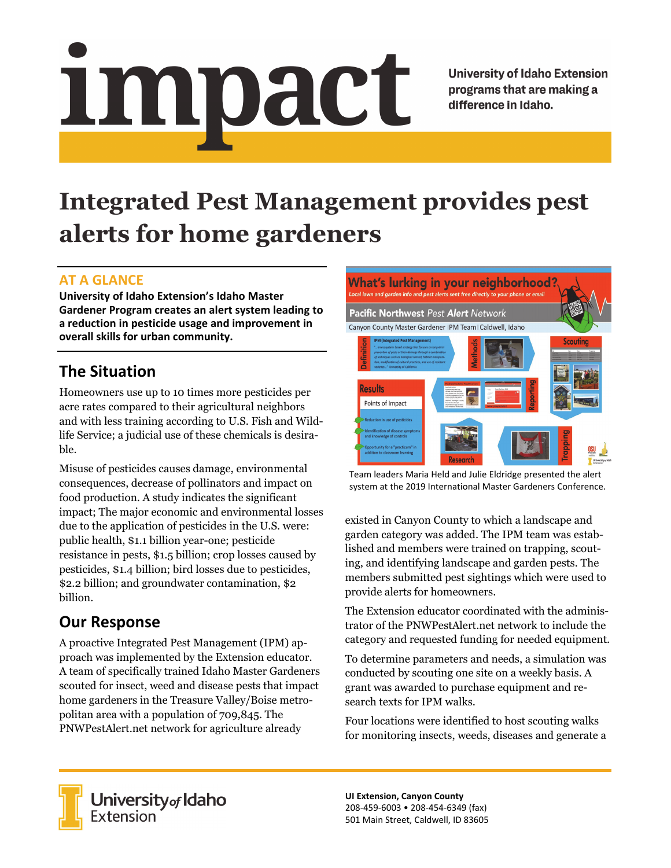# Impact

**University of Idaho Extension** programs that are making a difference in Idaho.

# **Integrated Pest Management provides pest alerts for home gardeners**

### **AT A GLANCE**

**University of Idaho Extension's Idaho Master Gardener Program creates an alert system leading to a reduction in pesticide usage and improvement in overall skills for urban community.** 

# **The Situation**

Homeowners use up to 10 times more pesticides per acre rates compared to their agricultural neighbors and with less training according to U.S. Fish and Wildlife Service; a judicial use of these chemicals is desirable.

Misuse of pesticides causes damage, environmental consequences, decrease of pollinators and impact on food production. A study indicates the significant impact; The major economic and environmental losses due to the application of pesticides in the U.S. were: public health, \$1.1 billion year-one; pesticide resistance in pests, \$1.5 billion; crop losses caused by pesticides, \$1.4 billion; bird losses due to pesticides, \$2.2 billion; and groundwater contamination, \$2 billion.

# **Our Response**

A proactive Integrated Pest Management (IPM) approach was implemented by the Extension educator. A team of specifically trained Idaho Master Gardeners scouted for insect, weed and disease pests that impact home gardeners in the Treasure Valley/Boise metropolitan area with a population of 709,845. The PNWPestAlert.net network for agriculture already



Team leaders Maria Held and Julie Eldridge presented the alert system at the 2019 International Master Gardeners Conference.

existed in Canyon County to which a landscape and garden category was added. The IPM team was established and members were trained on trapping, scouting, and identifying landscape and garden pests. The members submitted pest sightings which were used to provide alerts for homeowners.

The Extension educator coordinated with the administrator of the PNWPestAlert.net network to include the category and requested funding for needed equipment.

To determine parameters and needs, a simulation was conducted by scouting one site on a weekly basis. A grant was awarded to purchase equipment and research texts for IPM walks.

Four locations were identified to host scouting walks for monitoring insects, weeds, diseases and generate a